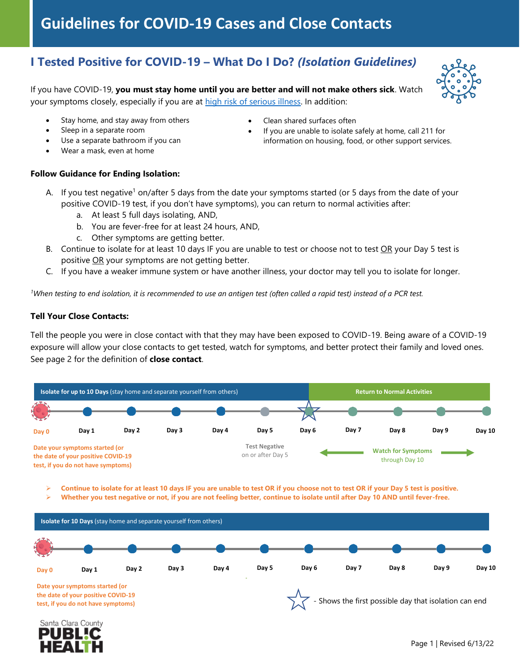# **Guidelines for COVID-19 Cases and Close Contacts**

## **I Tested Positive for COVID-19 – What Do I Do?** *(Isolation Guidelines)*

If you have COVID-19, **you must stay home until you are better and will not make others sick**. Watch your symptoms closely, especially if you are at [high risk of serious illness.](https://www.cdc.gov/coronavirus/2019-ncov/need-extra-precautions/index.html) In addition:



- Stay home, and stay away from others
- Clean shared surfaces often

- Sleep in a separate room
- Use a separate bathroom if you can
- 
- 
- If you are unable to isolate safely at home, call 211 for information on housing, food, or other support services.

• Wear a mask, even at home

### **Follow Guidance for Ending Isolation:**

- A. If you test negative<sup>1</sup> on/after 5 days from the date your symptoms started (or 5 days from the date of your positive COVID-19 test, if you don't have symptoms), you can return to normal activities after:
	- a. At least 5 full days isolating, AND,
	- b. You are fever-free for at least 24 hours, AND,
	- c. Other symptoms are getting better.
- B. Continue to isolate for at least 10 days IF you are unable to test or choose not to test OR your Day 5 test is positive OR your symptoms are not getting better.
- C. If you have a weaker immune system or have another illness, your doctor may tell you to isolate for longer.

*<sup>1</sup>When testing to end isolation, it is recommended to use an antigen test (often called a rapid test) instead of a PCR test.*

### **Tell Your Close Contacts:**

Tell the people you were in close contact with that they may have been exposed to COVID-19. Being aware of a COVID-19 exposure will allow your close contacts to get tested, watch for symptoms, and better protect their family and loved ones. See page 2 for the definition of **close contact**.



➢ **Continue to isolate for at least 10 days IF you are unable to test OR if you choose not to test OR if your Day 5 test is positive.**

➢ **Whether you test negative or not, if you are not feeling better, continue to isolate until after Day 10 AND until fever-free.**